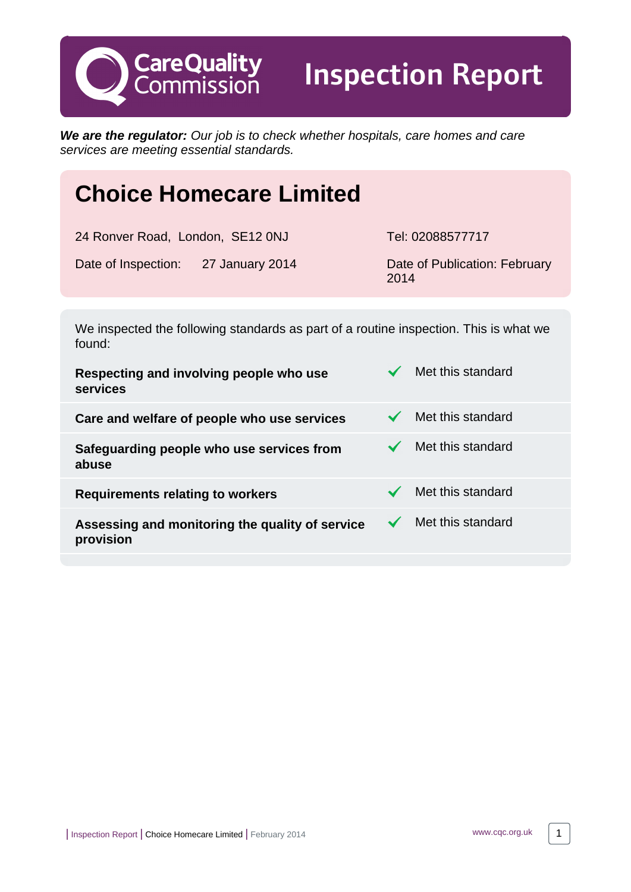**CareQuality**<br>Commission

Inspection Report

**We are the regulator:** Our job is to check whether hospitals, care homes and care services are meeting essential standards.

# **Choice Homecare Limited**

24 Ronver Road, London, SE12 0NJ Tel: 02088577717

Date of Inspection: 27 January 2014 Date of Publication: February

2014

We inspected the following standards as part of a routine inspection. This is what we found:

| Respecting and involving people who use<br>services          | Met this standard |
|--------------------------------------------------------------|-------------------|
| Care and welfare of people who use services                  | Met this standard |
| Safeguarding people who use services from<br>abuse           | Met this standard |
| <b>Requirements relating to workers</b>                      | Met this standard |
| Assessing and monitoring the quality of service<br>provision | Met this standard |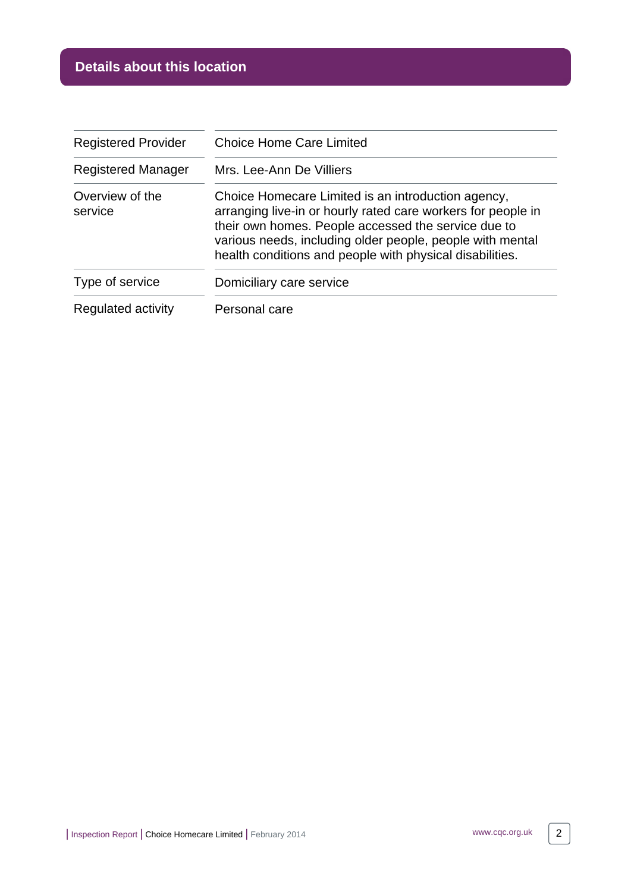# **Details about this location**

| <b>Registered Provider</b> | <b>Choice Home Care Limited</b>                                                                                                                                                                                                                                                                    |
|----------------------------|----------------------------------------------------------------------------------------------------------------------------------------------------------------------------------------------------------------------------------------------------------------------------------------------------|
| <b>Registered Manager</b>  | Mrs. Lee-Ann De Villiers                                                                                                                                                                                                                                                                           |
| Overview of the<br>service | Choice Homecare Limited is an introduction agency,<br>arranging live-in or hourly rated care workers for people in<br>their own homes. People accessed the service due to<br>various needs, including older people, people with mental<br>health conditions and people with physical disabilities. |
| Type of service            | Domiciliary care service                                                                                                                                                                                                                                                                           |
| Regulated activity         | Personal care                                                                                                                                                                                                                                                                                      |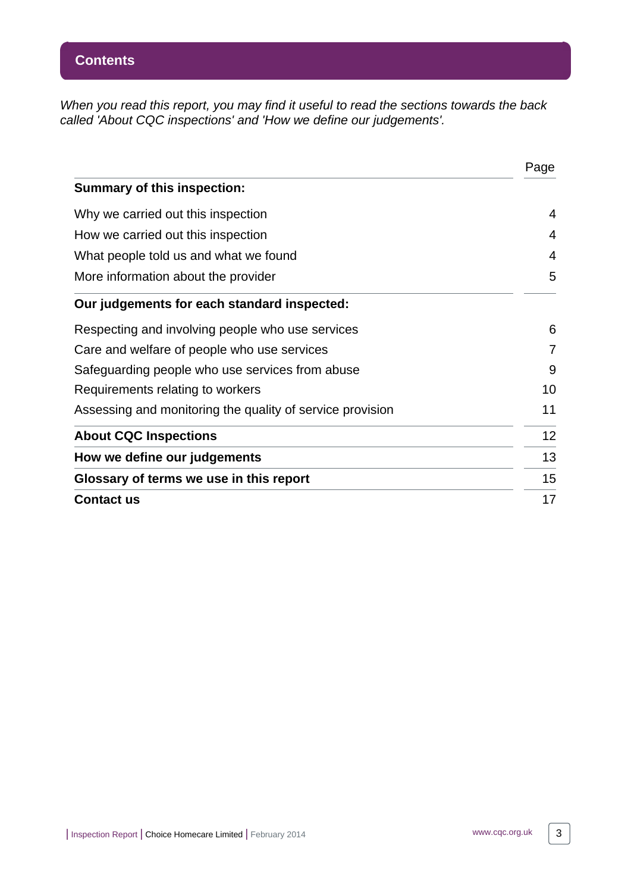When you read this report, you may find it useful to read the sections towards the back called 'About CQC inspections' and 'How we define our judgements'.

|                                                           | Page |
|-----------------------------------------------------------|------|
| <b>Summary of this inspection:</b>                        |      |
| Why we carried out this inspection                        | 4    |
| How we carried out this inspection                        | 4    |
| What people told us and what we found                     | 4    |
| More information about the provider                       | 5    |
| Our judgements for each standard inspected:               |      |
| Respecting and involving people who use services          | 6    |
| Care and welfare of people who use services               | 7    |
| Safeguarding people who use services from abuse           | 9    |
| Requirements relating to workers                          | 10   |
| Assessing and monitoring the quality of service provision | 11   |
| <b>About CQC Inspections</b>                              | 12   |
| How we define our judgements                              | 13   |
| Glossary of terms we use in this report                   | 15   |
| <b>Contact us</b>                                         | 17   |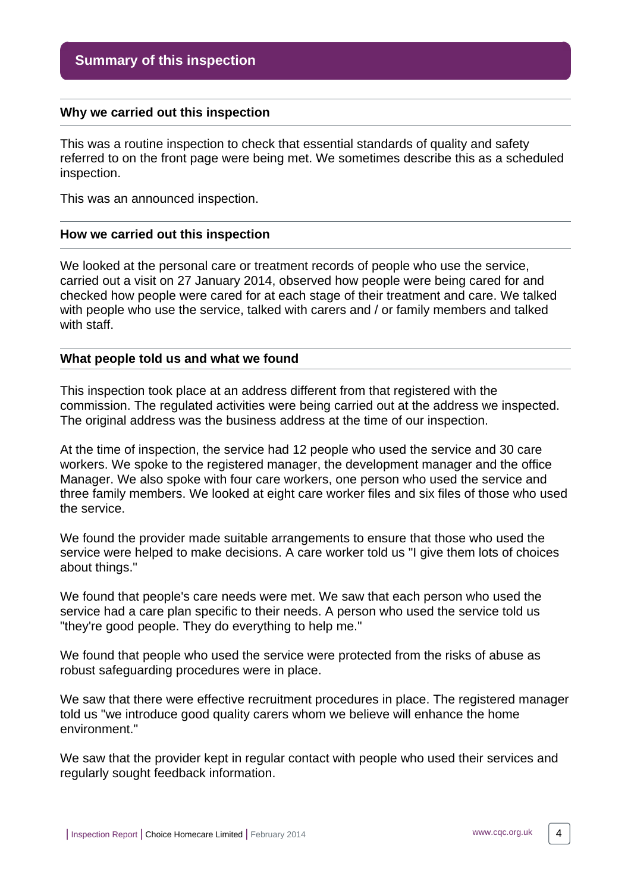#### <span id="page-3-0"></span>**Why we carried out this inspection**

This was a routine inspection to check that essential standards of quality and safety referred to on the front page were being met. We sometimes describe this as a scheduled inspection.

This was an announced inspection.

#### <span id="page-3-1"></span>**How we carried out this inspection**

We looked at the personal care or treatment records of people who use the service, carried out a visit on 27 January 2014, observed how people were being cared for and checked how people were cared for at each stage of their treatment and care. We talked with people who use the service, talked with carers and / or family members and talked with staff.

#### <span id="page-3-2"></span>**What people told us and what we found**

This inspection took place at an address different from that registered with the commission. The regulated activities were being carried out at the address we inspected. The original address was the business address at the time of our inspection.

At the time of inspection, the service had 12 people who used the service and 30 care workers. We spoke to the registered manager, the development manager and the office Manager. We also spoke with four care workers, one person who used the service and three family members. We looked at eight care worker files and six files of those who used the service.

We found the provider made suitable arrangements to ensure that those who used the service were helped to make decisions. A care worker told us "I give them lots of choices about things."

We found that people's care needs were met. We saw that each person who used the service had a care plan specific to their needs. A person who used the service told us "they're good people. They do everything to help me."

We found that people who used the service were protected from the risks of abuse as robust safeguarding procedures were in place.

We saw that there were effective recruitment procedures in place. The registered manager told us "we introduce good quality carers whom we believe will enhance the home environment."

We saw that the provider kept in regular contact with people who used their services and regularly sought feedback information.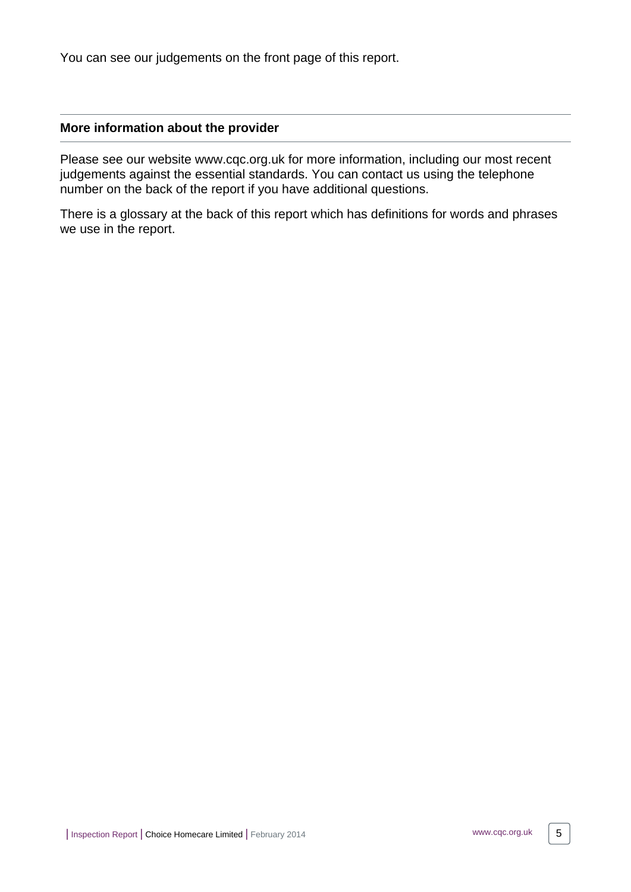You can see our judgements on the front page of this report.

#### <span id="page-4-0"></span>**More information about the provider**

Please see our website www.cqc.org.uk for more information, including our most recent judgements against the essential standards. You can contact us using the telephone number on the back of the report if you have additional questions.

There is a glossary at the back of this report which has definitions for words and phrases we use in the report.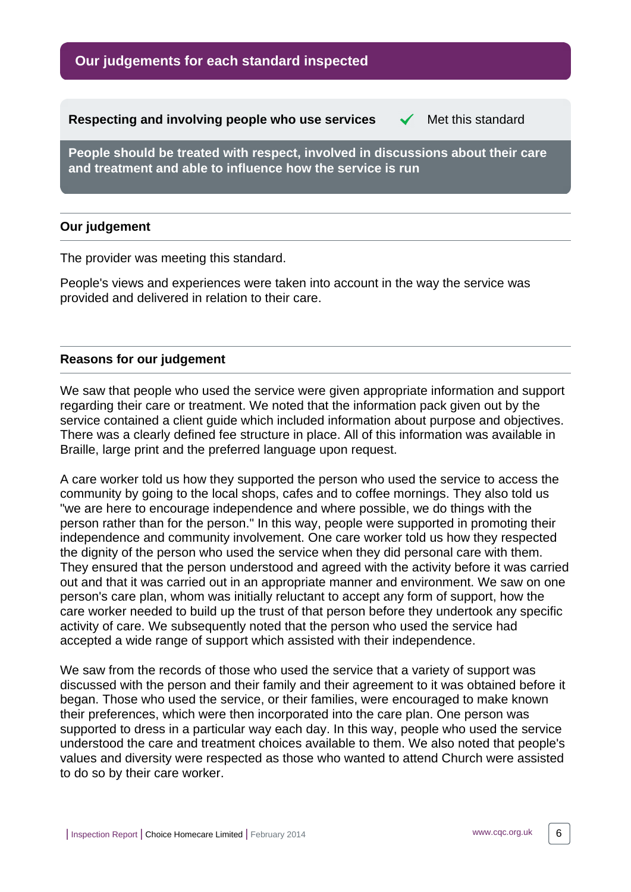**Our judgements for each standard inspected**

<span id="page-5-0"></span>**Respecting and involving people who use services**  $\checkmark$  **Met this standard** 

**People should be treated with respect, involved in discussions about their care and treatment and able to influence how the service is run**

#### **Our judgement**

The provider was meeting this standard.

People's views and experiences were taken into account in the way the service was provided and delivered in relation to their care.

#### **Reasons for our judgement**

We saw that people who used the service were given appropriate information and support regarding their care or treatment. We noted that the information pack given out by the service contained a client guide which included information about purpose and objectives. There was a clearly defined fee structure in place. All of this information was available in Braille, large print and the preferred language upon request.

A care worker told us how they supported the person who used the service to access the community by going to the local shops, cafes and to coffee mornings. They also told us "we are here to encourage independence and where possible, we do things with the person rather than for the person." In this way, people were supported in promoting their independence and community involvement. One care worker told us how they respected the dignity of the person who used the service when they did personal care with them. They ensured that the person understood and agreed with the activity before it was carried out and that it was carried out in an appropriate manner and environment. We saw on one person's care plan, whom was initially reluctant to accept any form of support, how the care worker needed to build up the trust of that person before they undertook any specific activity of care. We subsequently noted that the person who used the service had accepted a wide range of support which assisted with their independence.

We saw from the records of those who used the service that a variety of support was discussed with the person and their family and their agreement to it was obtained before it began. Those who used the service, or their families, were encouraged to make known their preferences, which were then incorporated into the care plan. One person was supported to dress in a particular way each day. In this way, people who used the service understood the care and treatment choices available to them. We also noted that people's values and diversity were respected as those who wanted to attend Church were assisted to do so by their care worker.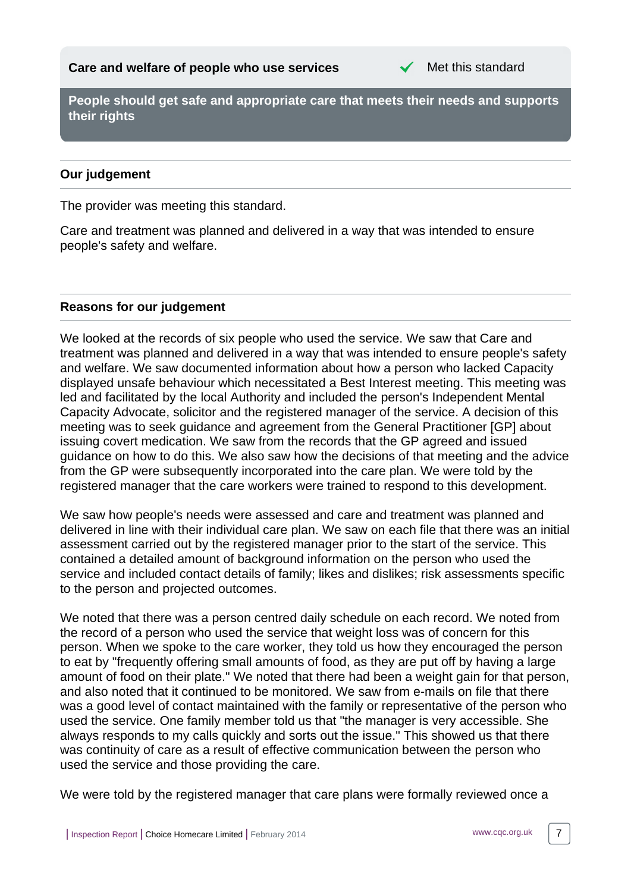

<span id="page-6-0"></span>**People should get safe and appropriate care that meets their needs and supports their rights**

# **Our judgement**

The provider was meeting this standard.

Care and treatment was planned and delivered in a way that was intended to ensure people's safety and welfare.

## **Reasons for our judgement**

We looked at the records of six people who used the service. We saw that Care and treatment was planned and delivered in a way that was intended to ensure people's safety and welfare. We saw documented information about how a person who lacked Capacity displayed unsafe behaviour which necessitated a Best Interest meeting. This meeting was led and facilitated by the local Authority and included the person's Independent Mental Capacity Advocate, solicitor and the registered manager of the service. A decision of this meeting was to seek guidance and agreement from the General Practitioner [GP] about issuing covert medication. We saw from the records that the GP agreed and issued guidance on how to do this. We also saw how the decisions of that meeting and the advice from the GP were subsequently incorporated into the care plan. We were told by the registered manager that the care workers were trained to respond to this development.

We saw how people's needs were assessed and care and treatment was planned and delivered in line with their individual care plan. We saw on each file that there was an initial assessment carried out by the registered manager prior to the start of the service. This contained a detailed amount of background information on the person who used the service and included contact details of family; likes and dislikes; risk assessments specific to the person and projected outcomes.

We noted that there was a person centred daily schedule on each record. We noted from the record of a person who used the service that weight loss was of concern for this person. When we spoke to the care worker, they told us how they encouraged the person to eat by "frequently offering small amounts of food, as they are put off by having a large amount of food on their plate." We noted that there had been a weight gain for that person, and also noted that it continued to be monitored. We saw from e-mails on file that there was a good level of contact maintained with the family or representative of the person who used the service. One family member told us that "the manager is very accessible. She always responds to my calls quickly and sorts out the issue." This showed us that there was continuity of care as a result of effective communication between the person who used the service and those providing the care.

We were told by the registered manager that care plans were formally reviewed once a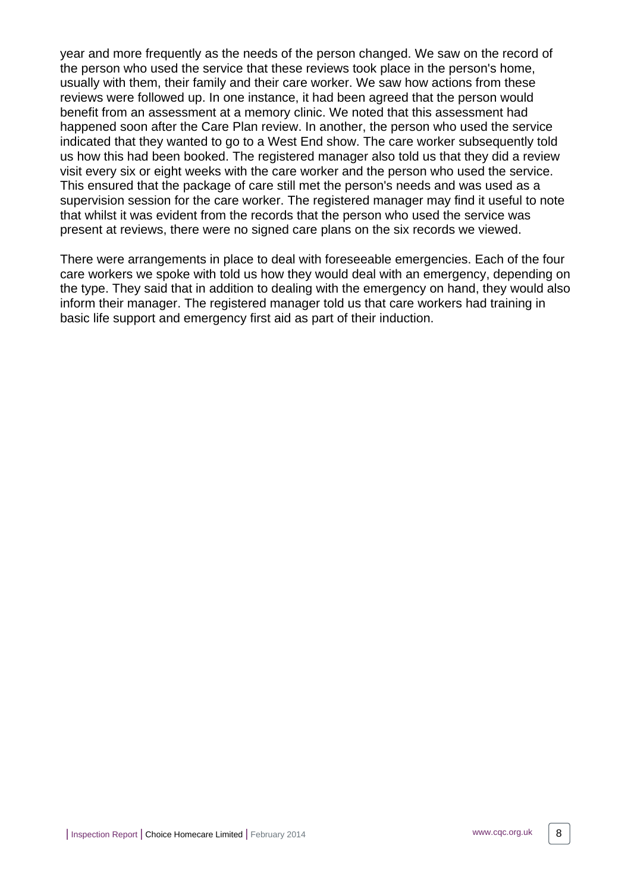year and more frequently as the needs of the person changed. We saw on the record of the person who used the service that these reviews took place in the person's home, usually with them, their family and their care worker. We saw how actions from these reviews were followed up. In one instance, it had been agreed that the person would benefit from an assessment at a memory clinic. We noted that this assessment had happened soon after the Care Plan review. In another, the person who used the service indicated that they wanted to go to a West End show. The care worker subsequently told us how this had been booked. The registered manager also told us that they did a review visit every six or eight weeks with the care worker and the person who used the service. This ensured that the package of care still met the person's needs and was used as a supervision session for the care worker. The registered manager may find it useful to note that whilst it was evident from the records that the person who used the service was present at reviews, there were no signed care plans on the six records we viewed.

There were arrangements in place to deal with foreseeable emergencies. Each of the four care workers we spoke with told us how they would deal with an emergency, depending on the type. They said that in addition to dealing with the emergency on hand, they would also inform their manager. The registered manager told us that care workers had training in basic life support and emergency first aid as part of their induction.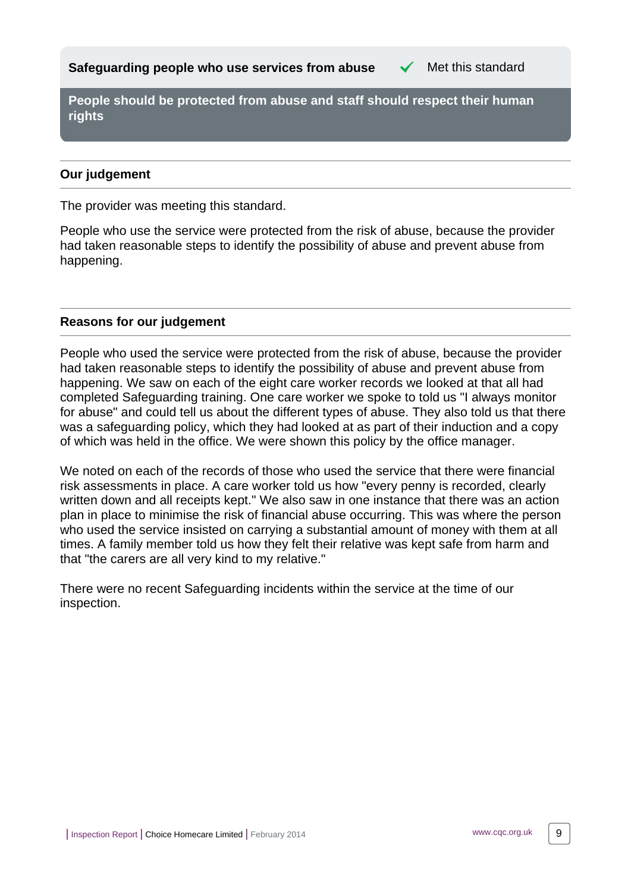<span id="page-8-0"></span>**People should be protected from abuse and staff should respect their human rights**

## **Our judgement**

The provider was meeting this standard.

People who use the service were protected from the risk of abuse, because the provider had taken reasonable steps to identify the possibility of abuse and prevent abuse from happening.

#### **Reasons for our judgement**

People who used the service were protected from the risk of abuse, because the provider had taken reasonable steps to identify the possibility of abuse and prevent abuse from happening. We saw on each of the eight care worker records we looked at that all had completed Safeguarding training. One care worker we spoke to told us "I always monitor for abuse" and could tell us about the different types of abuse. They also told us that there was a safeguarding policy, which they had looked at as part of their induction and a copy of which was held in the office. We were shown this policy by the office manager.

We noted on each of the records of those who used the service that there were financial risk assessments in place. A care worker told us how "every penny is recorded, clearly written down and all receipts kept." We also saw in one instance that there was an action plan in place to minimise the risk of financial abuse occurring. This was where the person who used the service insisted on carrying a substantial amount of money with them at all times. A family member told us how they felt their relative was kept safe from harm and that "the carers are all very kind to my relative."

There were no recent Safeguarding incidents within the service at the time of our inspection.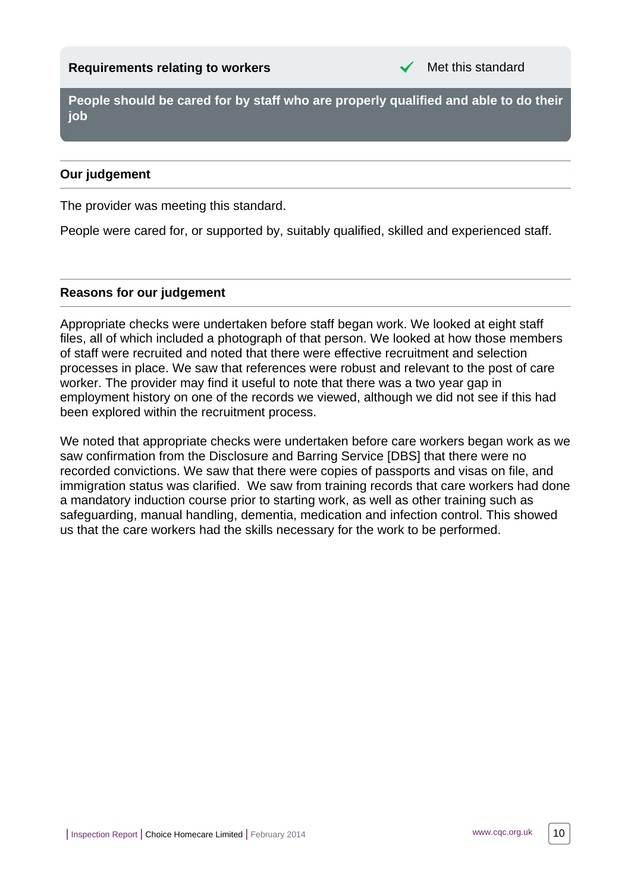<span id="page-9-0"></span>**People should be cared for by staff who are properly qualified and able to do their job**

# **Our judgement**

The provider was meeting this standard.

People were cared for, or supported by, suitably qualified, skilled and experienced staff.

#### **Reasons for our judgement**

Appropriate checks were undertaken before staff began work. We looked at eight staff files, all of which included a photograph of that person. We looked at how those members of staff were recruited and noted that there were effective recruitment and selection processes in place. We saw that references were robust and relevant to the post of care worker. The provider may find it useful to note that there was a two year gap in employment history on one of the records we viewed, although we did not see if this had been explored within the recruitment process.

We noted that appropriate checks were undertaken before care workers began work as we saw confirmation from the Disclosure and Barring Service [DBS] that there were no recorded convictions. We saw that there were copies of passports and visas on file, and immigration status was clarified. We saw from training records that care workers had done a mandatory induction course prior to starting work, as well as other training such as safeguarding, manual handling, dementia, medication and infection control. This showed us that the care workers had the skills necessary for the work to be performed.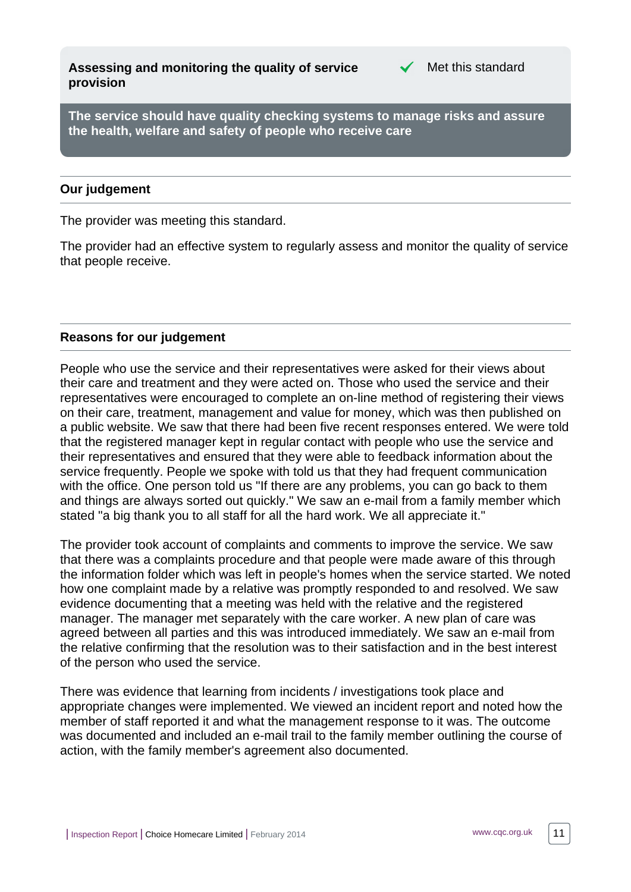<span id="page-10-0"></span>**Assessing and monitoring the quality of service provision**



**The service should have quality checking systems to manage risks and assure the health, welfare and safety of people who receive care**

#### **Our judgement**

The provider was meeting this standard.

The provider had an effective system to regularly assess and monitor the quality of service that people receive.

#### **Reasons for our judgement**

People who use the service and their representatives were asked for their views about their care and treatment and they were acted on. Those who used the service and their representatives were encouraged to complete an on-line method of registering their views on their care, treatment, management and value for money, which was then published on a public website. We saw that there had been five recent responses entered. We were told that the registered manager kept in regular contact with people who use the service and their representatives and ensured that they were able to feedback information about the service frequently. People we spoke with told us that they had frequent communication with the office. One person told us "If there are any problems, you can go back to them and things are always sorted out quickly." We saw an e-mail from a family member which stated "a big thank you to all staff for all the hard work. We all appreciate it."

The provider took account of complaints and comments to improve the service. We saw that there was a complaints procedure and that people were made aware of this through the information folder which was left in people's homes when the service started. We noted how one complaint made by a relative was promptly responded to and resolved. We saw evidence documenting that a meeting was held with the relative and the registered manager. The manager met separately with the care worker. A new plan of care was agreed between all parties and this was introduced immediately. We saw an e-mail from the relative confirming that the resolution was to their satisfaction and in the best interest of the person who used the service.

There was evidence that learning from incidents / investigations took place and appropriate changes were implemented. We viewed an incident report and noted how the member of staff reported it and what the management response to it was. The outcome was documented and included an e-mail trail to the family member outlining the course of action, with the family member's agreement also documented.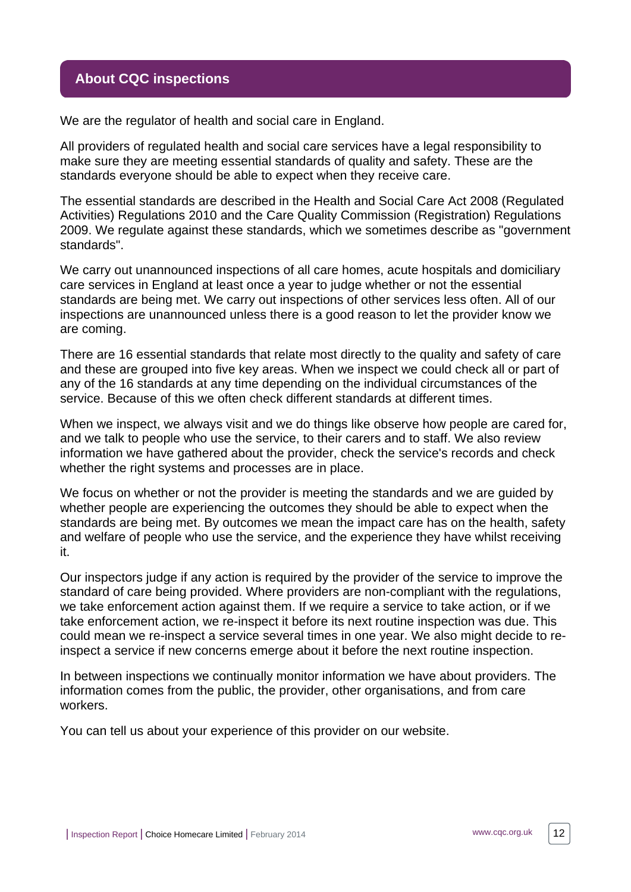# <span id="page-11-0"></span>**About CQC inspections**

We are the regulator of health and social care in England.

All providers of regulated health and social care services have a legal responsibility to make sure they are meeting essential standards of quality and safety. These are the standards everyone should be able to expect when they receive care.

The essential standards are described in the Health and Social Care Act 2008 (Regulated Activities) Regulations 2010 and the Care Quality Commission (Registration) Regulations 2009. We regulate against these standards, which we sometimes describe as "government standards".

We carry out unannounced inspections of all care homes, acute hospitals and domiciliary care services in England at least once a year to judge whether or not the essential standards are being met. We carry out inspections of other services less often. All of our inspections are unannounced unless there is a good reason to let the provider know we are coming.

There are 16 essential standards that relate most directly to the quality and safety of care and these are grouped into five key areas. When we inspect we could check all or part of any of the 16 standards at any time depending on the individual circumstances of the service. Because of this we often check different standards at different times.

When we inspect, we always visit and we do things like observe how people are cared for, and we talk to people who use the service, to their carers and to staff. We also review information we have gathered about the provider, check the service's records and check whether the right systems and processes are in place.

We focus on whether or not the provider is meeting the standards and we are guided by whether people are experiencing the outcomes they should be able to expect when the standards are being met. By outcomes we mean the impact care has on the health, safety and welfare of people who use the service, and the experience they have whilst receiving it.

Our inspectors judge if any action is required by the provider of the service to improve the standard of care being provided. Where providers are non-compliant with the regulations, we take enforcement action against them. If we require a service to take action, or if we take enforcement action, we re-inspect it before its next routine inspection was due. This could mean we re-inspect a service several times in one year. We also might decide to reinspect a service if new concerns emerge about it before the next routine inspection.

In between inspections we continually monitor information we have about providers. The information comes from the public, the provider, other organisations, and from care workers.

You can tell us about your experience of this provider on our website.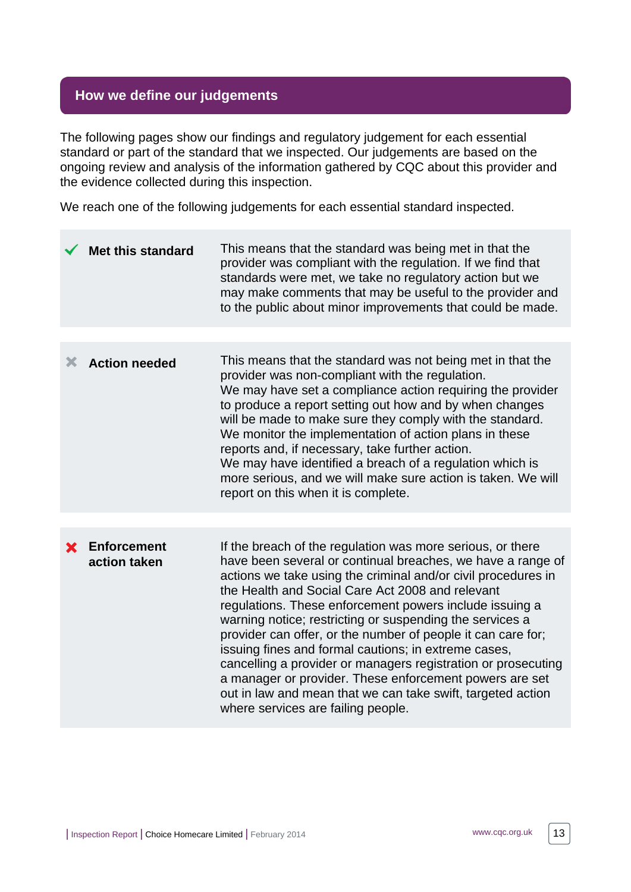# <span id="page-12-0"></span>**How we define our judgements**

The following pages show our findings and regulatory judgement for each essential standard or part of the standard that we inspected. Our judgements are based on the ongoing review and analysis of the information gathered by CQC about this provider and the evidence collected during this inspection.

We reach one of the following judgements for each essential standard inspected.

|   | <b>Met this standard</b>    | This means that the standard was being met in that the<br>provider was compliant with the regulation. If we find that<br>standards were met, we take no regulatory action but we<br>may make comments that may be useful to the provider and<br>to the public about minor improvements that could be made.                                                                                                                                                                                                                                                                                                                                                                                                                     |
|---|-----------------------------|--------------------------------------------------------------------------------------------------------------------------------------------------------------------------------------------------------------------------------------------------------------------------------------------------------------------------------------------------------------------------------------------------------------------------------------------------------------------------------------------------------------------------------------------------------------------------------------------------------------------------------------------------------------------------------------------------------------------------------|
|   |                             |                                                                                                                                                                                                                                                                                                                                                                                                                                                                                                                                                                                                                                                                                                                                |
| Х | <b>Action needed</b>        | This means that the standard was not being met in that the<br>provider was non-compliant with the regulation.<br>We may have set a compliance action requiring the provider<br>to produce a report setting out how and by when changes<br>will be made to make sure they comply with the standard.<br>We monitor the implementation of action plans in these<br>reports and, if necessary, take further action.<br>We may have identified a breach of a regulation which is<br>more serious, and we will make sure action is taken. We will<br>report on this when it is complete.                                                                                                                                             |
|   |                             |                                                                                                                                                                                                                                                                                                                                                                                                                                                                                                                                                                                                                                                                                                                                |
|   | Enforcement<br>action taken | If the breach of the regulation was more serious, or there<br>have been several or continual breaches, we have a range of<br>actions we take using the criminal and/or civil procedures in<br>the Health and Social Care Act 2008 and relevant<br>regulations. These enforcement powers include issuing a<br>warning notice; restricting or suspending the services a<br>provider can offer, or the number of people it can care for;<br>issuing fines and formal cautions; in extreme cases,<br>cancelling a provider or managers registration or prosecuting<br>a manager or provider. These enforcement powers are set<br>out in law and mean that we can take swift, targeted action<br>where services are failing people. |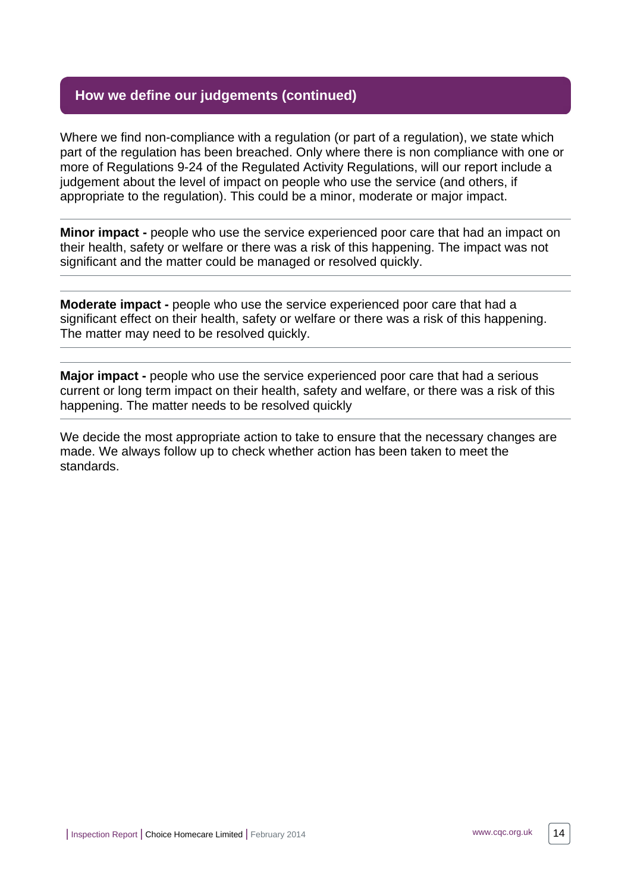# **How we define our judgements (continued)**

Where we find non-compliance with a regulation (or part of a regulation), we state which part of the regulation has been breached. Only where there is non compliance with one or more of Regulations 9-24 of the Regulated Activity Regulations, will our report include a judgement about the level of impact on people who use the service (and others, if appropriate to the regulation). This could be a minor, moderate or major impact.

**Minor impact -** people who use the service experienced poor care that had an impact on their health, safety or welfare or there was a risk of this happening. The impact was not significant and the matter could be managed or resolved quickly.

**Moderate impact -** people who use the service experienced poor care that had a significant effect on their health, safety or welfare or there was a risk of this happening. The matter may need to be resolved quickly.

**Major impact -** people who use the service experienced poor care that had a serious current or long term impact on their health, safety and welfare, or there was a risk of this happening. The matter needs to be resolved quickly

We decide the most appropriate action to take to ensure that the necessary changes are made. We always follow up to check whether action has been taken to meet the standards.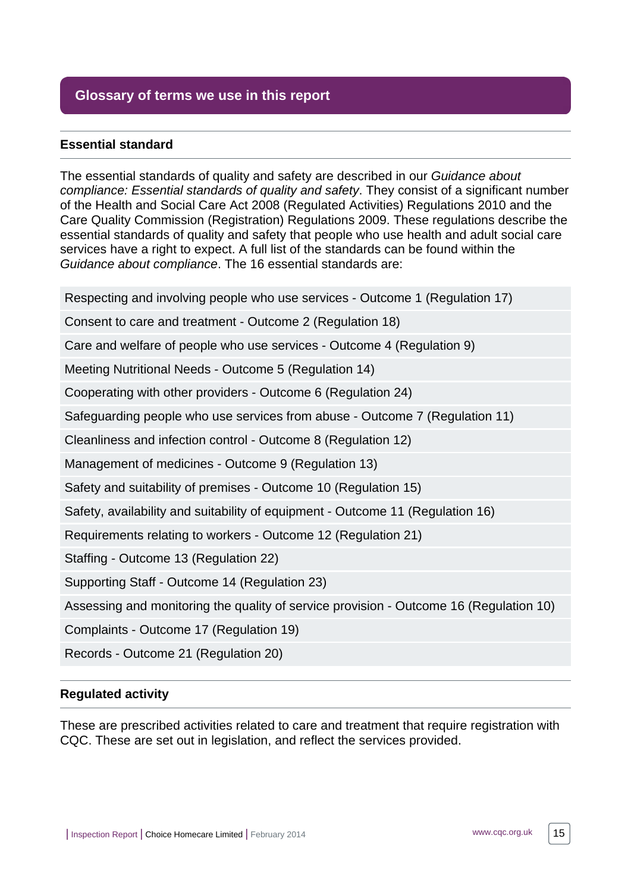# <span id="page-14-0"></span>**Glossary of terms we use in this report**

## **Essential standard**

The essential standards of quality and safety are described in our Guidance about compliance: Essential standards of quality and safety. They consist of a significant number of the Health and Social Care Act 2008 (Regulated Activities) Regulations 2010 and the Care Quality Commission (Registration) Regulations 2009. These regulations describe the essential standards of quality and safety that people who use health and adult social care services have a right to expect. A full list of the standards can be found within the Guidance about compliance. The 16 essential standards are:

Respecting and involving people who use services - Outcome 1 (Regulation 17)

Consent to care and treatment - Outcome 2 (Regulation 18)

Care and welfare of people who use services - Outcome 4 (Regulation 9)

Meeting Nutritional Needs - Outcome 5 (Regulation 14)

Cooperating with other providers - Outcome 6 (Regulation 24)

Safeguarding people who use services from abuse - Outcome 7 (Regulation 11)

Cleanliness and infection control - Outcome 8 (Regulation 12)

Management of medicines - Outcome 9 (Regulation 13)

Safety and suitability of premises - Outcome 10 (Regulation 15)

Safety, availability and suitability of equipment - Outcome 11 (Regulation 16)

Requirements relating to workers - Outcome 12 (Regulation 21)

Staffing - Outcome 13 (Regulation 22)

Supporting Staff - Outcome 14 (Regulation 23)

Assessing and monitoring the quality of service provision - Outcome 16 (Regulation 10)

Complaints - Outcome 17 (Regulation 19)

Records - Outcome 21 (Regulation 20)

#### **Regulated activity**

These are prescribed activities related to care and treatment that require registration with CQC. These are set out in legislation, and reflect the services provided.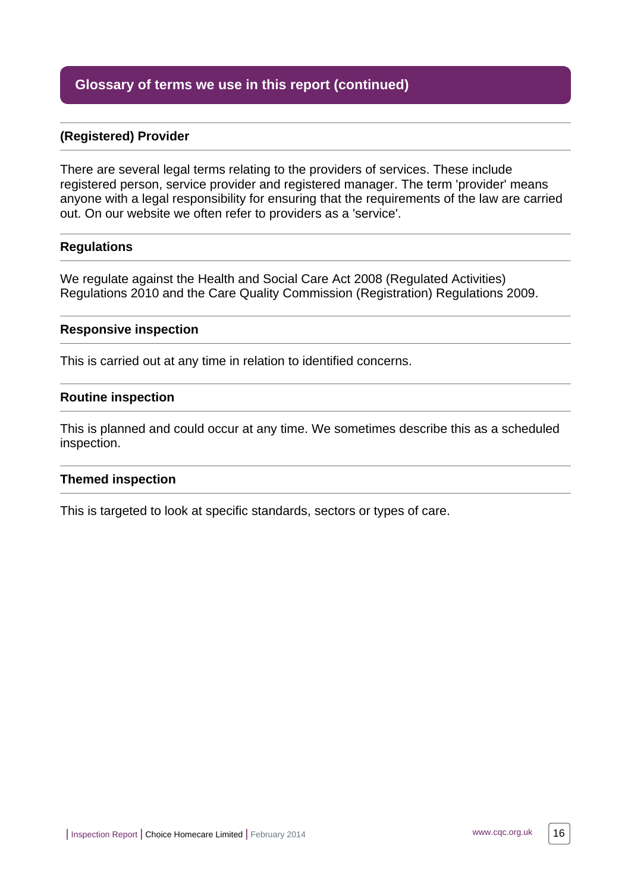# **Glossary of terms we use in this report (continued)**

#### **(Registered) Provider**

There are several legal terms relating to the providers of services. These include registered person, service provider and registered manager. The term 'provider' means anyone with a legal responsibility for ensuring that the requirements of the law are carried out. On our website we often refer to providers as a 'service'.

#### **Regulations**

We regulate against the Health and Social Care Act 2008 (Regulated Activities) Regulations 2010 and the Care Quality Commission (Registration) Regulations 2009.

#### **Responsive inspection**

This is carried out at any time in relation to identified concerns.

#### **Routine inspection**

This is planned and could occur at any time. We sometimes describe this as a scheduled inspection.

#### **Themed inspection**

This is targeted to look at specific standards, sectors or types of care.